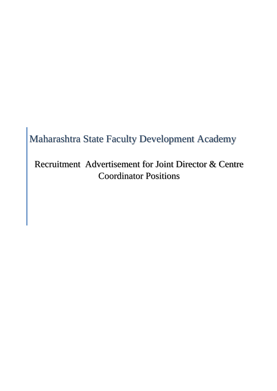# Maharashtra State Faculty Development Academy

Recruitment Advertisement for Joint Director & Centre Coordinat[or Positions](https://mahasarkar.co.in/)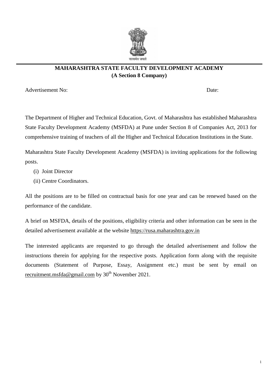

# **MAHARASHTRA STATE FACULTY DEVELOPMENT ACADEMY (A Section 8 Company)**

Advertisement No: Date: Date: Date: Date: Date: Date: Date: Date: Date: Date: Date: Date: Date: Date: Date: Date: Date: Date: Date: Date: Date: Date: Date: Date: Date: Date: Date: Date: Date: Date: Date: Date: Date: Date:

The Department of Higher and Technical Education, Govt. of Maharashtra has established Maharashtra State Faculty Development Academy (MSFDA) at Pune under Section 8 of Companies Act, 2013 for comprehensive training of teachers of all the Higher and Technical Education Institutions in the State.

Maharashtra State Faculty Development Academy (MSFDA) is inviting applications for the following posts.

- (i) Joint Director
- (ii) Centre Coordinators.

All the positions are to be filled on contractual basis for one year and can be renewed based on the performance of the candidate.

A brief on MSFDA, details of the positions, eligibility criteria and other information can be seen in the detailed advertisement available at the website [https://rusa.maharashtra.gov.in](https://rusa.maharashtra.gov.in/)

The interested applicants are requested to go through the detailed advertisement and follow the instructions therein for ap[plying for the respective](https://mahasarkar.co.in/) posts. Application form along with the requisite documents (Statement of Purpose, Essay, Assignment etc.) must be sent by email on [recruitment.msfda@gmail.com](mailto:recruitment.msfda@gmail.com) by  $30<sup>th</sup>$  November 2021.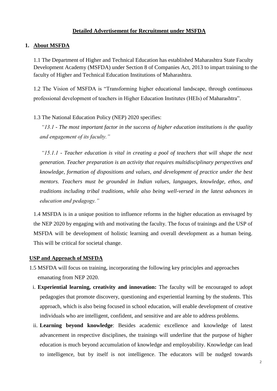# **Detailed Advertisement for Recruitment under MSFDA**

### **1. About MSFDA**

1.1 The Department of Higher and Technical Education has established Maharashtra State Faculty Development Academy (MSFDA) under Section 8 of Companies Act, 2013 to impart training to the faculty of Higher and Technical Education Institutions of Maharashtra.

1.2 The Vision of MSFDA is "Transforming higher educational landscape, through continuous professional development of teachers in Higher Education Institutes (HEIs) of Maharashtra".

1.3 The National Education Policy (NEP) 2020 specifies:

*"13.1 - The most important factor in the success of higher education institutions is the quality and engagement of its faculty."*

*"15.1.1 - Teacher education is vital in creating a pool of teachers that will shape the next ge[neration. Teacher preparat](https://mahasarkar.co.in/)ion is an activity that requires multidisciplinary perspectives and knowledge, formation of dispositions and values, and development of practice under the best mentors. Teachers must be grounded in Indian values, languages, knowledge, ethos, and traditions including tribal traditions, while also being well-versed in the latest advances in education and pedagogy."*

1.4 MSFDA is in a unique position to influence reforms in the higher education as envisaged by the NEP 2020 by engaging with and motivating the faculty. The focus of trainings and the USP of MSFDA will be development of holistic learning and overall development as a human being. This will be critical for societal change.

#### **USP and Approach of MSFDA**

- 1.5 MSFDA will focus on training, incorporating the following key principles and approaches emanating from NEP 2020.
- i. **Experiential learning, creativity and innovation:** The faculty will be encouraged to adopt pedagogies that promote discovery, questioning and experiential learning by the students. This approach, which is also being focused in school education, will enable development of creative individuals who are intelligent, confident, and sensitive and are able to address problems.
- ii. **Learning beyond knowledge**: Besides academic excellence and knowledge of latest advancement in respective disciplines, the trainings will underline that the purpose of higher education is much beyond accumulation of knowledge and employability. Knowledge can lead to intelligence, but by itself is not intelligence. The educators will be nudged towards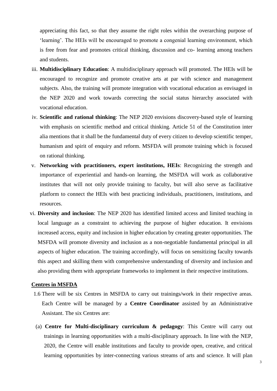appreciating this fact, so that they assume the right roles within the overarching purpose of 'learning'. The HEIs will be encouraged to promote a congenial learning environment, which is free from fear and promotes critical thinking, discussion and co- learning among teachers and students.

- iii. **Multidisciplinary Education**: A multidisciplinary approach will promoted. The HEIs will be encouraged to recognize and promote creative arts at par with science and management subjects. Also, the training will promote integration with vocational education as envisaged in the NEP 2020 and work towards correcting the social status hierarchy associated with vocational education.
- iv. **Scientific and rational thinking**: The NEP 2020 envisions discovery-based style of learning with emphasis on scientific method and critical thinking. Article 51 of the Constitution inter alia mentions that it shall be the fundamental duty of every citizen to develop scientific temper, humanism and spirit of enquiry and reform. MSFDA will promote training which is focused on rational thinking.
- v. **Networking with practitioners, expert institutions, HEIs**: Recognizing the strength and importance of experiential and hands-on learning, the MSFDA will work as collaborative institutes that will not only provide training to faculty, but will also serve as facilitative platform to connect the HEIs with best practicing individuals, practitioners, institutions, and resources.
- vi. **Diversity and inclusion**: The NEP 2020 has identified limited access and limited teaching in local language as a constraint to achieving the purpose of higher education. It envisions increased access, equity and inclusion in higher education by creating greater opportunities. The MSFDA will promote diversity and inclusion as a non-negotiable fundamental principal in all aspects of higher education. The training accordingly, will focus on sensitizing faculty towards this aspect and skilling them with comprehensive understanding of diversity and inclusion and also providing them with appropriate frameworks to implement in their respective institutions.

#### **Centres in MSFDA**

- 1.6 There will be six Centres in MSFDA to carry out trainings/work in their respective areas. Each Centre will be managed by a **Centre Coordinator** assisted by an Administrative Assistant. The six Centres are:
- (a) **Centre for Multi-disciplinary curriculum & pedagogy**: This Centre will carry out trainings in learning opportunities with a multi-disciplinary approach. In line with the NEP, 2020, the Centre will enable institutions and faculty to provide open, creative, and critical learning opportunities by inter-connecting various streams of arts and science. It will plan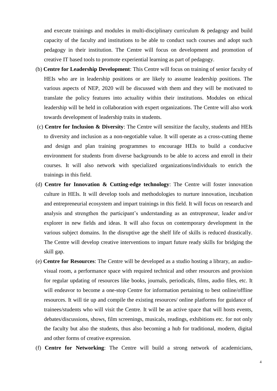and execute trainings and modules in multi-disciplinary curriculum & pedagogy and build capacity of the faculty and institutions to be able to conduct such courses and adopt such pedagogy in their institution. The Centre will focus on development and promotion of creative IT based tools to promote experiential learning as part of pedagogy.

- (b) **Centre for Leadership Development**: This Centre will focus on training of senior faculty of HEIs who are in leadership positions or are likely to assume leadership positions. The various aspects of NEP, 2020 will be discussed with them and they will be motivated to translate the policy features into actuality within their institutions. Modules on ethical leadership will be held in collaboration with expert organizations. The Centre will also work towards development of leadership traits in students.
- (c) **Centre for Inclusion & Diversity**: The Centre will sensitize the faculty, students and HEIs to diversity and inclusion as a non-negotiable value. It will operate as a cross-cutting theme and design and plan training programmes to encourage HEIs to build a conducive environment for students from diverse backgrounds to be able to access and enroll in their courses. It will also network with specialized organizations/individuals to enrich the trainings in this field.
- (d) **Centre for Innovation & Cutting-edge technology**: The Centre will foster innovation culture in HEIs. It will develop tools and methodologies to nurture innovation, incubation and entrepreneurial ecosystem and impart trainings in this field. It will focus on research and analysis and strengthen the participant"s understanding as an entrepreneur, leader and/or explorer in new fields and ideas. It will also focus on contemporary development in the various subject domains. In the disruptive age the shelf life of skills is reduced drastically. The Centre will develop creative interventions to impart future ready skills for bridging the skill gap.
- (e) **Centre for Resources**: The Centre will be developed as a studio hosting a library, an audiovisual room, a performance space with required technical and other resources and provision for regular updating of resources like books, journals, periodicals, films, audio files, etc. It will endeavor to become a one-stop Centre for information pertaining to best online/offline resources. It will tie up and compile the existing resources/ online platforms for guidance of trainees/students who will visit the Centre. It will be an active space that will hosts events, debates/discussions, shows, film screenings, musicals, readings, exhibitions etc. for not only the faculty but also the students, thus also becoming a hub for traditional, modern, digital and other forms of creative expression.
- (f) **Centre for Networking**: The Centre will build a strong network of academicians,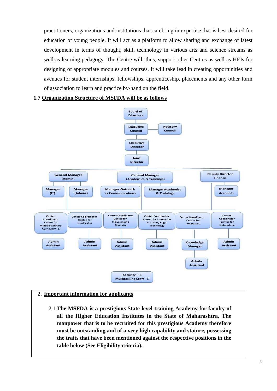practitioners, organizations and institutions that can bring in expertise that is best desired for education of young people. It will act as a platform to allow sharing and exchange of latest development in terms of thought, skill, technology in various arts and science streams as well as learning pedagogy. The Centre will, thus, support other Centres as well as HEIs for designing of appropriate modules and courses. It will take lead in creating opportunities and avenues for student internships, fellowships, apprenticeship, placements and any other form of association to learn and practice by-hand on the field.

#### **1.7 Organization Structure of MSFDA will be as follows**



# **2. Important information for applicants**

2.1 **The MSFDA is a prestigious State-level training Academy for faculty of all the Higher Education Institutes in the State of Maharashtra. The manpower that is to be recruited for this prestigious Academy therefore must be outstanding and of a very high capability and stature, possessing the traits that have been mentioned against the respective positions in the table below (See Eligibility criteria).**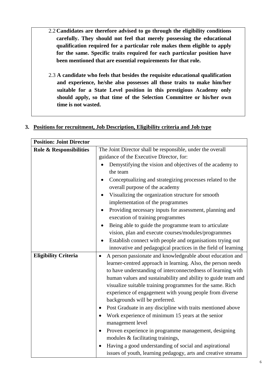- 2.2 **Candidates are therefore advised to go through the eligibility conditions carefully. They should not feel that merely possessing the educational qualification required for a particular role makes them eligible to apply for the same. Specific traits required for each particular position have been mentioned that are essential requirements for that role.**
- 2.3 **A candidate who feels that besides the requisite educational qualification and experience, he/she also possesses all those traits to make him/her suitable for a State Level position in this prestigious Academy only should apply, so that time of the Selection Committee or his/her own time is not wasted.**

| <b>Position: Joint Director</b> |                                                                        |
|---------------------------------|------------------------------------------------------------------------|
| Role & Responsibilities         | The Joint Director shall be responsible, under the overall             |
|                                 | guidance of the Executive Director, for:                               |
|                                 | Demystifying the vision and objectives of the academy to               |
|                                 | the team                                                               |
|                                 | Conceptualizing and strategizing processes related to the              |
|                                 | overall purpose of the academy                                         |
|                                 | Visualizing the organization structure for smooth                      |
|                                 | implementation of the programmes                                       |
|                                 | Providing necessary inputs for assessment, planning and                |
|                                 | execution of training programmes                                       |
|                                 | Being able to guide the programme team to articulate                   |
|                                 | vision, plan and execute courses/modules/programmes                    |
|                                 | Establish connect with people and organisations trying out             |
|                                 | innovative and pedagogical practices in the field of learning          |
| <b>Eligibility Criteria</b>     | A person passionate and knowledgeable about education and<br>$\bullet$ |
|                                 | learner-centred approach in learning. Also, the person needs           |
|                                 | to have understanding of interconnectedness of learning with           |
|                                 | human values and sustainability and ability to guide team and          |
|                                 | visualize suitable training programmes for the same. Rich              |
|                                 | experience of engagement with young people from diverse                |
|                                 | backgrounds will be preferred.                                         |
|                                 | Post Graduate in any discipline with traits mentioned above            |
|                                 | Work experience of minimum 15 years at the senior                      |
|                                 | management level                                                       |
|                                 | Proven experience in programme management, designing<br>$\bullet$      |
|                                 | modules & facilitating trainings,                                      |
|                                 | Having a good understanding of social and aspirational<br>$\bullet$    |
|                                 | issues of youth, learning pedagogy, arts and creative streams          |

# **3. Positions for recruitment, Job Description, Eligibility criteria and Job type**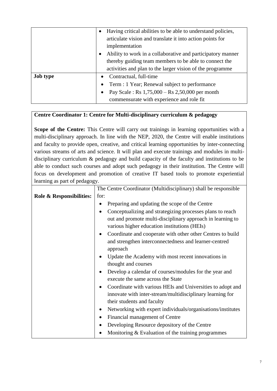|                 | Having critical abilities to be able to understand policies,<br>$\bullet$<br>articulate vision and translate it into action points for<br>implementation<br>Ability to work in a collaborative and participatory manner<br>thereby guiding team members to be able to connect the<br>activities and plan to the larger vision of the programme |
|-----------------|------------------------------------------------------------------------------------------------------------------------------------------------------------------------------------------------------------------------------------------------------------------------------------------------------------------------------------------------|
| <b>Job type</b> | Contractual, full-time<br>$\bullet$                                                                                                                                                                                                                                                                                                            |
|                 | Term : 1 Year; Renewal subject to performance<br>$\bullet$                                                                                                                                                                                                                                                                                     |
|                 | Pay Scale: Rs 1,75,000 - Rs 2,50,000 per month<br>$\bullet$                                                                                                                                                                                                                                                                                    |
|                 | commensurate with experience and role fit                                                                                                                                                                                                                                                                                                      |

# **Centre Coordinator 1: Centre for Multi-disciplinary curriculum & pedagogy**

**Scope of the Centre:** This Centre will carry out trainings in learning opportunities with a multi-disciplinary approach. In line with the NEP, 2020, the Centre will enable institutions and faculty to provide open, creative, and critical learning opportunities by inter-connecting various streams of arts and science. It will plan and execute trainings and modules in multidisciplinary curriculum & pedagogy and build capacity of the faculty and institutions to be able to conduct such courses and adopt such pedagogy in their institution. The Centre will focus on development and promotion of creative IT based tools to promote experiential learning as part of pedagogy.

|                          | The Centre Coordinator (Multidisciplinary) shall be responsible  |
|--------------------------|------------------------------------------------------------------|
| Role & Responsibilities: | for:                                                             |
|                          | Preparing and updating the scope of the Centre                   |
|                          | Conceptualizing and strategizing processes plans to reach        |
|                          | out and promote multi-disciplinary approach in learning to       |
|                          | various higher education institutions (HEIs)                     |
|                          | Coordinate and cooperate with other other Centres to build       |
|                          | and strengthen interconnectedness and learner-centred            |
|                          | approach                                                         |
|                          | Update the Academy with most recent innovations in               |
|                          | thought and courses                                              |
|                          | Develop a calendar of courses/modules for the year and           |
|                          | execute the same across the State                                |
|                          | Coordinate with various HEIs and Universities to adopt and       |
|                          | innovate with inter-stream/multidisciplinary learning for        |
|                          | their students and faculty                                       |
|                          | Networking with expert individuals/organisations/institutes<br>٠ |
|                          | Financial management of Centre<br>٠                              |
|                          | Developing Resource depository of the Centre<br>$\bullet$        |
|                          | Monitoring & Evaluation of the training programmes               |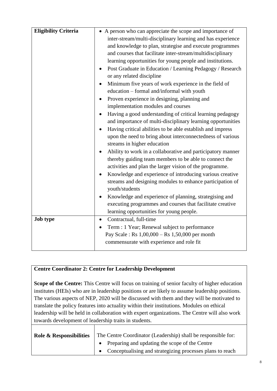| <b>Eligibility Criteria</b> | • A person who can appreciate the scope and importance of   |
|-----------------------------|-------------------------------------------------------------|
|                             | inter-stream/multi-disciplinary learning and has experience |
|                             | and knowledge to plan, strategise and execute programmes    |
|                             | and courses that facilitate inter-stream/multidisciplinary  |
|                             | learning opportunities for young people and institutions.   |
|                             | Post Graduate in Education / Learning Pedagogy / Research   |
|                             | or any related discipline                                   |
|                             | Minimum five years of work experience in the field of       |
|                             | education - formal and/informal with youth                  |
|                             | Proven experience in designing, planning and                |
|                             | implementation modules and courses                          |
|                             | Having a good understanding of critical learning pedagogy   |
|                             | and importance of multi-disciplinary learning opportunities |
|                             | Having critical abilities to be able establish and impress  |
|                             | upon the need to bring about interconnectedness of various  |
|                             | streams in higher education                                 |
|                             | Ability to work in a collaborative and participatory manner |
|                             | thereby guiding team members to be able to connect the      |
|                             | activities and plan the larger vision of the programme.     |
|                             | Knowledge and experience of introducing various creative    |
|                             | streams and designing modules to enhance participation of   |
|                             | youth/students                                              |
|                             | Knowledge and experience of planning, strategising and      |
|                             | executing programmes and courses that facilitate creative   |
|                             | learning opportunities for young people.                    |
| <b>Job type</b>             | Contractual, full-time<br>$\bullet$                         |
|                             | Term : 1 Year; Renewal subject to performance               |
|                             | Pay Scale: Rs $1,00,000 -$ Rs $1,50,000$ per month          |
|                             | commensurate with experience and role fit                   |
|                             |                                                             |

# **Centre Coordinator 2: Centre for Leadership Development**

Scope of the Centre: This Centre will focus on training of senior faculty of higher education institutes (HEIs) who are in leadership positions or are likely to assume leadership positions. The various aspects of NEP, 2020 will be discussed with them and they will be motivated to translate the policy features into actuality within their institutions. Modules on ethical leadership will be held in collaboration with expert organizations. The Centre will also work towards development of leadership traits in students.

| <b>Role &amp; Responsibilities</b> | The Centre Coordinator (Leadership) shall be responsible for: |  |
|------------------------------------|---------------------------------------------------------------|--|
|                                    | • Preparing and updating the scope of the Centre              |  |
|                                    | • Conceptualising and strategizing processes plans to reach   |  |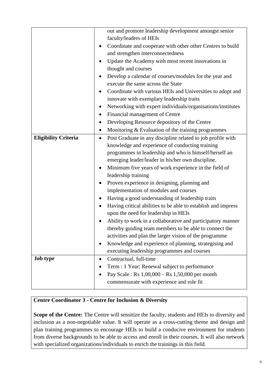|                             |           | out and promote leadership development amongst senior         |
|-----------------------------|-----------|---------------------------------------------------------------|
|                             |           | faculty/leaders of HEIs                                       |
|                             |           | Coordinate and cooperate with other other Centres to build    |
|                             |           | and strengthen interconnectedness                             |
|                             |           | Update the Academy with most recent innovations in            |
|                             |           | thought and courses                                           |
|                             |           | Develop a calendar of courses/modules for the year and        |
|                             |           | execute the same across the State                             |
|                             | ٠         | Coordinate with various HEIs and Universities to adopt and    |
|                             |           | innovate with exemplary leadership traits                     |
|                             | $\bullet$ | Networking with expert individuals/organisations/institutes   |
|                             | ٠         | Financial management of Centre                                |
|                             | $\bullet$ | Developing Resource depository of the Centre                  |
|                             | ٠         | Monitoring & Evaluation of the training programmes            |
| <b>Eligibility Criteria</b> | ٠         | Post Graduate in any discipline related to job profile with   |
|                             |           | knowledge and experience of conducting training               |
|                             |           | programmes in leadership and who is himself/herself an        |
|                             |           | emerging leader/leader in his/her own discipline.             |
|                             |           | Minimum five years of work experience in the field of         |
|                             |           | leadership training                                           |
|                             |           | Proven experience in designing, planning and                  |
|                             |           | implementation of modules and courses                         |
|                             |           | Having a good understanding of leadership traits              |
|                             | ٠         | Having critical abilities to be able to establish and impress |
|                             |           | upon the need for leadership in HEIs                          |
|                             |           | Ability to work in a collaborative and participatory manner   |
|                             |           | thereby guiding team members to be able to connect the        |
|                             |           | activities and plan the larger vision of the programme        |
|                             |           | Knowledge and experience of planning, strategising and        |
|                             |           | executing leadership programmes and courses                   |
| <b>Job type</b>             | ٠         | Contractual, full-time                                        |
|                             |           | Term : 1 Year; Renewal subject to performance                 |
|                             |           | Pay Scale : Rs $1,00,000 -$ Rs $1,50,000$ per month           |
|                             |           | commensurate with experience and role fit                     |

# **Centre Coordinator 3 - Centre for Inclusion & Diversity**

Scope of the Centre: The Centre will sensitize the faculty, students and HEIs to diversity and inclusion as a non-negotiable value. It will operate as a cross-cutting theme and design and plan training programmes to encourage HEIs to build a conducive environment for students from diverse backgrounds to be able to access and enroll in their courses. It will also network with specialized organizations/individuals to enrich the trainings in this field.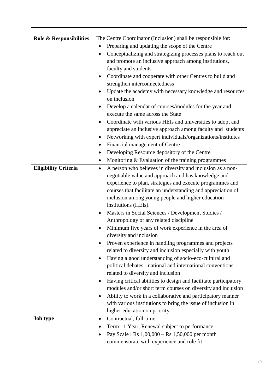| <b>Role &amp; Responsibilities</b> | The Centre Coordinator (Inclusion) shall be responsible for:<br>Preparing and updating the scope of the Centre<br>Conceptualizing and strategizing processes plans to reach out<br>and promote an inclusive approach among institutions,<br>faculty and students<br>Coordinate and cooperate with other Centres to build and<br>strengthen interconnectedness<br>Update the academy with necessary knowledge and resources<br>on inclusion<br>Develop a calendar of courses/modules for the year and<br>execute the same across the State<br>Coordinate with various HEIs and universities to adopt and<br>appreciate an inclusive approach among faculty and students<br>Networking with expert individuals/organizations/institutes |
|------------------------------------|---------------------------------------------------------------------------------------------------------------------------------------------------------------------------------------------------------------------------------------------------------------------------------------------------------------------------------------------------------------------------------------------------------------------------------------------------------------------------------------------------------------------------------------------------------------------------------------------------------------------------------------------------------------------------------------------------------------------------------------|
|                                    | Financial management of Centre                                                                                                                                                                                                                                                                                                                                                                                                                                                                                                                                                                                                                                                                                                        |
|                                    | Developing Resource depository of the Centre                                                                                                                                                                                                                                                                                                                                                                                                                                                                                                                                                                                                                                                                                          |
|                                    | Monitoring & Evaluation of the training programmes                                                                                                                                                                                                                                                                                                                                                                                                                                                                                                                                                                                                                                                                                    |
| <b>Eligibility Criteria</b>        | A person who believes in diversity and inclusion as a non-<br>$\bullet$<br>negotiable value and approach and has knowledge and<br>experience to plan, strategies and execute programmes and<br>courses that facilitate an understanding and appreciation of<br>inclusion among young people and higher education<br>institutions (HEIs).                                                                                                                                                                                                                                                                                                                                                                                              |
|                                    | Masters in Social Sciences / Development Studies /<br>Anthropology or any related discipline                                                                                                                                                                                                                                                                                                                                                                                                                                                                                                                                                                                                                                          |
|                                    | Minimum five years of work experience in the area of<br>diversity and inclusion                                                                                                                                                                                                                                                                                                                                                                                                                                                                                                                                                                                                                                                       |
|                                    | Proven experience in handling programmes and projects<br>related to diversity and inclusion especially with youth<br>Having a good understanding of socio-eco-cultural and<br>political debates - national and international conventions -<br>related to diversity and inclusion                                                                                                                                                                                                                                                                                                                                                                                                                                                      |
|                                    | Having critical abilities to design and facilitate participatory<br>modules and/or short term courses on diversity and inclusion<br>Ability to work in a collaborative and participatory manner<br>with various institutions to bring the issue of inclusion in<br>higher education on priority                                                                                                                                                                                                                                                                                                                                                                                                                                       |
| <b>Job type</b>                    | Contractual, full-time<br>Term : 1 Year; Renewal subject to performance<br>Pay Scale : Rs $1,00,000 -$ Rs $1,50,000$ per month<br>commensurate with experience and role fit                                                                                                                                                                                                                                                                                                                                                                                                                                                                                                                                                           |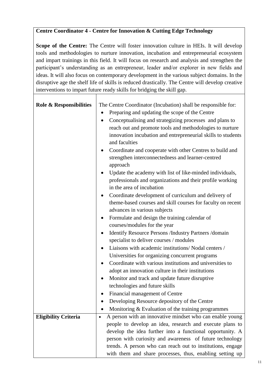# **Centre Coordinator 4 - Centre for Innovation & Cutting Edge Technology**

Scope of the Centre: The Centre will foster innovation culture in HEIs. It will develop tools and methodologies to nurture innovation, incubation and entrepreneurial ecosystem and impart trainings in this field. It will focus on research and analysis and strengthen the participant's understanding as an entrepreneur, leader and/or explorer in new fields and ideas. It will also focus on contemporary development in the various subject domains. In the disruptive age the shelf life of skills is reduced drastically. The Centre will develop creative interventions to impart future ready skills for bridging the skill gap.

| <b>Role &amp; Responsibilities</b> | The Centre Coordinator (Incubation) shall be responsible for:            |
|------------------------------------|--------------------------------------------------------------------------|
|                                    | Preparing and updating the scope of the Centre                           |
|                                    | Conceptualising and strategizing processes and plans to<br>$\bullet$     |
|                                    | reach out and promote tools and methodologies to nurture                 |
|                                    | innovation incubation and entrepreneurial skills to students             |
|                                    | and faculties                                                            |
|                                    | Coordinate and cooperate with other Centres to build and<br>$\bullet$    |
|                                    | strengthen interconnectedness and learner-centred                        |
|                                    | approach                                                                 |
|                                    | Update the academy with list of like-minded individuals,<br>$\bullet$    |
|                                    | professionals and organizations and their profile working                |
|                                    | in the area of incubation                                                |
|                                    | Coordinate development of curriculum and delivery of<br>$\bullet$        |
|                                    | theme-based courses and skill courses for faculty on recent              |
|                                    | advances in various subjects                                             |
|                                    | Formulate and design the training calendar of<br>$\bullet$               |
|                                    | courses/modules for the year                                             |
|                                    | <b>Identify Resource Persons /Industry Partners /domain</b><br>$\bullet$ |
|                                    | specialist to deliver courses / modules                                  |
|                                    | Liaisons with academic institutions/Nodal centers /<br>$\bullet$         |
|                                    | Universities for organizing concurrent programs                          |
|                                    | Coordinate with various institutions and universities to<br>٠            |
|                                    | adopt an innovation culture in their institutions                        |
|                                    | Monitor and track and update future disruptive<br>$\bullet$              |
|                                    | technologies and future skills                                           |
|                                    | Financial management of Centre                                           |
|                                    | Developing Resource depository of the Centre                             |
|                                    | Monitoring & Evaluation of the training programmes                       |
| <b>Eligibility Criteria</b>        | A person with an innovative mindset who can enable young<br>$\bullet$    |
|                                    | people to develop an idea, research and execute plans to                 |
|                                    | develop the idea further into a functional opportunity. A                |
|                                    | person with curiosity and awareness of future technology                 |
|                                    | trends. A person who can reach out to institutions, engage               |
|                                    | with them and share processes, thus, enabling setting up                 |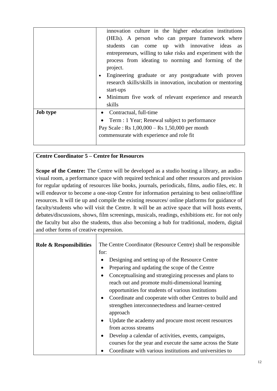|                 | innovation culture in the higher education institutions            |
|-----------------|--------------------------------------------------------------------|
|                 | (HEIs). A person who can prepare framework where                   |
|                 | students can come up with innovative ideas<br>as                   |
|                 | entrepreneurs, willing to take risks and experiment with the       |
|                 | process from ideating to norming and forming of the                |
|                 | project.                                                           |
|                 | Engineering graduate or any postgraduate with proven<br>$\bullet$  |
|                 | research skills/skills in innovation, incubation or mentoring      |
|                 | start-ups                                                          |
|                 | Minimum five work of relevant experience and research<br>$\bullet$ |
|                 | skills                                                             |
| <b>Job type</b> | Contractual, full-time<br>$\bullet$                                |
|                 | Term : 1 Year; Renewal subject to performance<br>$\bullet$         |
|                 | Pay Scale: $\text{Rs } 1,00,000 - \text{Rs } 1,50,000$ per month   |
|                 | commensurate with experience and role fit                          |
|                 |                                                                    |

# **Centre Coordinator 5 – Centre for Resources**

**Scope of the Centre:** The Centre will be developed as a studio hosting a library, an audiovisual room, a performance space with required technical and other resources and provision for regular updating of resources like books, journals, periodicals, films, audio files, etc. It will endeavor to become a one-stop Centre for information pertaining to best online/offline resources. It will tie up and compile the existing resources/ online platforms for guidance of faculty/students who will visit the Centre. It will be an active space that will hosts events, debates/discussions, shows, film screenings, musicals, readings, exhibitions etc. for not only the faculty but also the students, thus also becoming a hub for traditional, modern, digital and other forms of creative expression.

| <b>Role &amp; Responsibilities</b> | The Centre Coordinator (Resource Centre) shall be responsible<br>for:                                                                                                          |  |  |
|------------------------------------|--------------------------------------------------------------------------------------------------------------------------------------------------------------------------------|--|--|
|                                    | Designing and setting up of the Resource Centre                                                                                                                                |  |  |
|                                    | Preparing and updating the scope of the Centre                                                                                                                                 |  |  |
|                                    | Conceptualising and strategizing processes and plans to<br>$\bullet$<br>reach out and promote multi-dimensional learning<br>opportunities for students of various institutions |  |  |
|                                    | Coordinate and cooperate with other Centres to build and<br>$\bullet$<br>strengthen interconnectedness and learner-centred<br>approach                                         |  |  |
|                                    | Update the academy and procure most recent resources<br>٠<br>from across streams                                                                                               |  |  |
|                                    | Develop a calendar of activities, events, campaigns,<br>courses for the year and execute the same across the State                                                             |  |  |
|                                    | Coordinate with various institutions and universities to                                                                                                                       |  |  |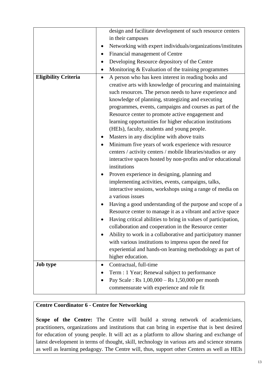|                             |           | design and facilitate development of such resource centers     |
|-----------------------------|-----------|----------------------------------------------------------------|
|                             |           | in their campuses                                              |
|                             |           | Networking with expert individuals/organizations/institutes    |
|                             |           | Financial management of Centre                                 |
|                             |           | Developing Resource depository of the Centre                   |
|                             | $\bullet$ | Monitoring & Evaluation of the training programmes             |
| <b>Eligibility Criteria</b> | $\bullet$ | A person who has keen interest in reading books and            |
|                             |           | creative arts with knowledge of procuring and maintaining      |
|                             |           | such resources. The person needs to have experience and        |
|                             |           | knowledge of planning, strategizing and executing              |
|                             |           | programmes, events, campaigns and courses as part of the       |
|                             |           | Resource center to promote active engagement and               |
|                             |           | learning opportunities for higher education institutions       |
|                             |           | (HEIs), faculty, students and young people.                    |
|                             |           | Masters in any discipline with above traits                    |
|                             |           | Minimum five years of work experience with resource            |
|                             |           | centers / activity centers / mobile libraries/studios or any   |
|                             |           | interactive spaces hosted by non-profits and/or educational    |
|                             |           | institutions                                                   |
|                             |           | Proven experience in designing, planning and                   |
|                             |           | implementing activities, events, campaigns, talks,             |
|                             |           | interactive sessions, workshops using a range of media on      |
|                             |           | a various issues                                               |
|                             |           | Having a good understanding of the purpose and scope of a      |
|                             |           | Resource center to manage it as a vibrant and active space     |
|                             |           | Having critical abilities to bring in values of participation, |
|                             |           | collaboration and cooperation in the Resource center           |
|                             |           | Ability to work in a collaborative and participatory manner    |
|                             |           | with various institutions to impress upon the need for         |
|                             |           | experiential and hands-on learning methodology as part of      |
|                             |           | higher education.                                              |
| <b>Job type</b>             | $\bullet$ | Contractual, full-time                                         |
|                             |           | Term : 1 Year; Renewal subject to performance                  |
|                             |           | Pay Scale : Rs $1,00,000 -$ Rs $1,50,000$ per month            |
|                             |           | commensurate with experience and role fit                      |
|                             |           |                                                                |

# **Centre Coordinator 6 - Centre for Networking**

Scope of the Centre: The Centre will build a strong network of academicians, practitioners, organizations and institutions that can bring in expertise that is best desired for education of young people. It will act as a platform to allow sharing and exchange of latest development in terms of thought, skill, technology in various arts and science streams as well as learning pedagogy. The Centre will, thus, support other Centers as well as HEIs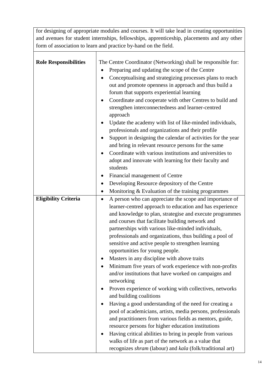for designing of appropriate modules and courses. It will take lead in creating opportunities and avenues for student internships, fellowships, apprenticeship, placements and any other form of association to learn and practice by-hand on the field.

| <b>Role Responsibilities</b> | The Centre Coordinator (Networking) shall be responsible for:          |
|------------------------------|------------------------------------------------------------------------|
|                              | Preparing and updating the scope of the Centre<br>٠                    |
|                              | Conceptualising and strategizing processes plans to reach<br>$\bullet$ |
|                              | out and promote openness in approach and thus build a                  |
|                              | forum that supports experiential learning                              |
|                              | Coordinate and cooperate with other Centres to build and<br>$\bullet$  |
|                              | strengthen interconnectedness and learner-centred                      |
|                              | approach                                                               |
|                              | Update the academy with list of like-minded individuals,<br>٠          |
|                              | professionals and organizations and their profile                      |
|                              | Support in designing the calendar of activities for the year           |
|                              | and bring in relevant resource persons for the same                    |
|                              | Coordinate with various institutions and universities to<br>$\bullet$  |
|                              | adopt and innovate with learning for their faculty and                 |
|                              | students                                                               |
|                              | Financial management of Centre<br>٠                                    |
|                              | Developing Resource depository of the Centre<br>٠                      |
|                              | Monitoring & Evaluation of the training programmes<br>٠                |
| <b>Eligibility Criteria</b>  | A person who can appreciate the scope and importance of<br>$\bullet$   |
|                              | learner-centred approach to education and has experience               |
|                              | and knowledge to plan, strategise and execute programmes               |
|                              | and courses that facilitate building network and                       |
|                              | partnerships with various like-minded individuals,                     |
|                              | professionals and organizations, thus building a pool of               |
|                              | sensitive and active people to strengthen learning                     |
|                              | opportunities for young people.                                        |
|                              | Masters in any discipline with above traits                            |
|                              | Minimum five years of work experience with non-profits                 |
|                              | and/or institutions that have worked on campaigns and                  |
|                              | networking                                                             |
|                              | Proven experience of working with collectives, networks<br>٠           |
|                              | and building coalitions                                                |
|                              | Having a good understanding of the need for creating a<br>٠            |
|                              | pool of academicians, artists, media persons, professionals            |
|                              | and practitioners from various fields as mentors, guide,               |
|                              | resource persons for higher education institutions                     |
|                              | Having critical abilities to bring in people from various<br>٠         |
|                              | walks of life as part of the network as a value that                   |
|                              | recognizes shram (labour) and kala (folk/traditional art)              |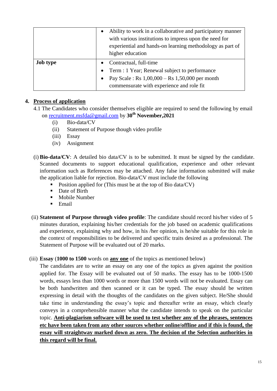|                 | $\bullet$ | Ability to work in a collaborative and participatory manner<br>with various institutions to impress upon the need for<br>experiential and hands-on learning methodology as part of<br>higher education |  |
|-----------------|-----------|--------------------------------------------------------------------------------------------------------------------------------------------------------------------------------------------------------|--|
| <b>Job type</b> |           | Contractual, full-time                                                                                                                                                                                 |  |
|                 | $\bullet$ | Term : 1 Year; Renewal subject to performance                                                                                                                                                          |  |
|                 | $\bullet$ | Pay Scale : Rs 1,00,000 – Rs 1,50,000 per month                                                                                                                                                        |  |
|                 |           | commensurate with experience and role fit                                                                                                                                                              |  |

# **4. Process of application**

- 4.1 The Candidates who consider themselves eligible are required to send the following by email on [recruitment.msfda@gmail.com](mailto:recruitment.msfda@gmail.com) by **30th November,2021**
	- (i) Bio-data/CV
	- (ii) Statement of Purpose though video profile
	- (iii) Essay
	- (iv) Assignment
- (i) **Bio-data/CV**: A detailed bio data/CV is to be submitted. It must be signed by the candidate. Scanned documents to support educational qualification, experience and other relevant information such as References may be attached. Any false information submitted will make the application liable for rejection. Bio-data/CV must include the following
	- Position applied for (This must be at the top of Bio data/CV)
	- Date of Birth
	- **Mobile Number**
	- $\blacksquare$  Email
- (ii) **Statement of Purpose through video profile**: The candidate should record his/her video of 5 minutes duration, explaining his/her credentials for the job based on academic qualifications and experience, explaining why and how, in his /her opinion, is he/she suitable for this role in the context of responsibilities to be delivered and specific traits desired as a professional. The Statement of Purpose will be evaluated out of 20 marks.
- (iii) **Essay** (**1000 to 1500** words on **any one** of the topics as mentioned below)

The candidates are to write an essay on any one of the topics as given against the position applied for. The Essay will be evaluated out of 50 marks. The essay has to be 1000-1500 words, essays less than 1000 words or more than 1500 words will not be evaluated. Essay can be both handwritten and then scanned or it can be typed. The essay should be written expressing in detail with the thoughts of the candidates on the given subject. He/She should take time in understanding the essay"s topic and thereafter write an essay, which clearly conveys in a comprehensible manner what the candidate intends to speak on the particular topic. **Anti-plagiarism software will be used to test whether any of the phrases, sentences etc have been taken from any other sources whether online/offline and if this is found, the essay will straightway marked down as zero. The decision of the Selection authorities in this regard will be final.**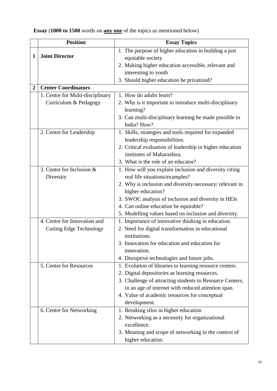|   | <b>Position</b>                  | <b>Essay Topics</b>                                                                    |
|---|----------------------------------|----------------------------------------------------------------------------------------|
| 1 | <b>Joint Director</b>            | 1. The purpose of higher education in building a just<br>equitable society             |
|   |                                  | 2. Making higher education accessible, relevant and                                    |
|   |                                  | interesting to youth                                                                   |
|   |                                  | 3. Should higher education be privatized?                                              |
| 2 | <b>Center Coordinators</b>       |                                                                                        |
|   | 1. Centre for Multi-disciplinary | 1. How do adults learn?                                                                |
|   | Curriculum & Pedagogy            | 2. Why is it important to introduce multi-disciplinary<br>learning?                    |
|   |                                  | 3. Can multi-disciplinary learning be made possible in<br>India? How?                  |
|   | 2. Centre for Leadership         | 1. Skills, strategies and tools required for expanded<br>leadership responsibilities.  |
|   |                                  | 2. Critical evaluation of leadership in higher education<br>institutes of Maharashtra. |
|   |                                  | 3. What is the role of an educator?                                                    |
|   | 3. Centre for Inclusion &        | 1. How will you explain inclusion and diversity citing                                 |
|   | Diversity                        | real life situations/examples?                                                         |
|   |                                  | 2. Why is inclusion and diversity necessary/relevant in                                |
|   |                                  | higher education?                                                                      |
|   |                                  | 3. SWOC analysis of inclusion and diversity in HEIs                                    |
|   |                                  | 4. Can online education be equitable?                                                  |
|   |                                  | 5. Modelling values based on inclusion and diversity.                                  |
|   | 4. Centre for Innovation and     | 1. Importance of innovative thinking in education.                                     |
|   | <b>Cutting Edge Technology</b>   | 2. Need for digital transformation in educational                                      |
|   |                                  | institutions.                                                                          |
|   |                                  | 3. Innovation for education and education for                                          |
|   |                                  | innovation.                                                                            |
|   |                                  | 4. Disruptive technologies and future jobs.                                            |
|   | 5. Centre for Resources          | 1. Evolution of libraries to learning resource centers.                                |
|   |                                  | 2. Digital depositories as learning resources.                                         |
|   |                                  | 3. Challenge of attracting students to Resource Centers,                               |
|   |                                  | in an age of internet with reduced attention span.                                     |
|   |                                  | 4. Value of academic resources for conceptual                                          |
|   | 6. Centre for Networking         | development.<br>1. Breaking silos in higher education                                  |
|   |                                  | 2. Networking as a necessity for organizational                                        |
|   |                                  | excellence.                                                                            |
|   |                                  | 3. Meaning and scope of networking in the context of                                   |
|   |                                  | higher education.                                                                      |

**Essay** (**1000 to 1500** words on **any one** of the topics as mentioned below)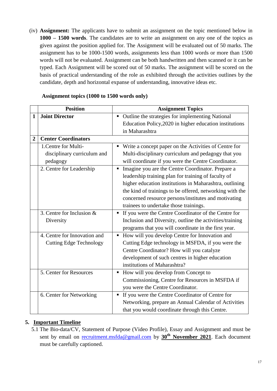(iv) **Assignment:** The applicants have to submit an assignment on the topic mentioned below in **1000 – 1500 words**. The candidates are to write an assignment on any one of the topics as given against the position applied for. The Assignment will be evaluated out of 50 marks. The assignment has to be 1000-1500 words, assignments less than 1000 words or more than 1500 words will not be evaluated. Assignment can be both handwritten and then scanned or it can be typed. Each Assignment will be scored out of 50 marks. The assignment will be scored on the basis of practical understanding of the role as exhibited through the activities outlines by the candidate, depth and horizontal expanse of understanding, innovative ideas etc.

|                | <b>Position</b>                | <b>Assignment Topics</b>                                         |  |  |
|----------------|--------------------------------|------------------------------------------------------------------|--|--|
| 1              | <b>Joint Director</b>          | Outline the strategies for implementing National                 |  |  |
|                |                                | Education Policy, 2020 in higher education institutions          |  |  |
|                |                                | in Maharashtra                                                   |  |  |
| $\overline{2}$ | <b>Center Coordinators</b>     |                                                                  |  |  |
|                | 1. Centre for Multi-           | Write a concept paper on the Activities of Centre for            |  |  |
|                | disciplinary curriculum and    | Multi-disciplinary curriculum and pedagogy that you              |  |  |
|                | pedagogy                       | will coordinate if you were the Centre Coordinator.              |  |  |
|                | 2. Centre for Leadership       | Imagine you are the Centre Coordinator. Prepare a<br>п           |  |  |
|                |                                | leadership training plan for training of faculty of              |  |  |
|                |                                | higher education institutions in Maharashtra, outlining          |  |  |
|                |                                | the kind of trainings to be offered, networking with the         |  |  |
|                |                                | concerned resource persons/institutes and motivating             |  |  |
|                |                                | trainees to undertake those trainings.                           |  |  |
|                | 3. Centre for Inclusion &      | If you were the Centre Coordinator of the Centre for             |  |  |
|                | Diversity                      | Inclusion and Diversity, outline the activities/training         |  |  |
|                |                                | programs that you will coordinate in the first year.             |  |  |
|                | 4. Centre for Innovation and   | How will you develop Centre for Innovation and<br>$\blacksquare$ |  |  |
|                | <b>Cutting Edge Technology</b> | Cutting Edge technology in MSFDA, if you were the                |  |  |
|                |                                | Centre Coordinator? How will you catalyze                        |  |  |
|                |                                | development of such centres in higher education                  |  |  |
|                |                                | institutions of Maharashtra?                                     |  |  |
|                | 5. Center for Resources        | How will you develop from Concept to                             |  |  |
|                |                                | Commissioning, Centre for Resources in MSFDA if                  |  |  |
|                |                                | you were the Centre Coordinator.                                 |  |  |
|                | 6. Center for Networking       | If you were the Centre Coordinator of Centre for                 |  |  |
|                |                                | Networking, prepare an Annual Calendar of Activities             |  |  |
|                |                                | that you would coordinate through this Centre.                   |  |  |

#### **Assignment topics (1000 to 1500 words only)**

# **5. Important Timeline**

5.1 The Bio-data/CV, Statement of Purpose (Video Profile), Essay and Assignment and must be sent by email on [recruitment.msfda@gmail.com](mailto:recruitment.msfda@gmail.com) by **30th November 2021**. Each document must be carefully captioned.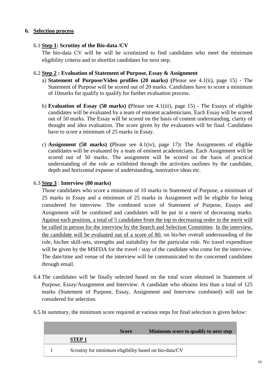#### **6. Selection process**

### 6.1 **Step 1: Scrutiny of the Bio-data /CV**

The bio-data CV will be will be scrutinized to find candidates who meet the minimum eligibility criteria and to shortlist candidates for next step.

#### 6.2 **Step 2 : Evaluation of Statement of Purpose, Essay & Assignment**

- a) **Statement of Purpose/Video profiles (20 marks) (**Please see 4.1(ii), page 15) The Statement of Purpose will be scored out of 20 marks. Candidates have to score a minimum of 10marks for qualify to qualify for further evaluation process.
- b) **Evaluation of Essay (50 marks) (**Please see 4.1(iii), page 15) The Essays of eligible candidates will be evaluated by a team of eminent academicians. Each Essay will be scored out of 50 marks. The Essay will be scored on the basis of content understanding, clarity of thought and idea evaluation. The score given by the evaluators will be final. Candidates have to score a minimum of 25 marks in Essay.
- c) **Assignment (50 marks) (**Please see 4.1(iv), page 17)**:** The Assignments of eligible candidates will be evaluated by a team of eminent academicians. Each Assignment will be scored out of 50 marks. The assignment will be scored on the basis of practical understanding of the role as exhibited through the activities outlines by the candidate, depth and horizontal expanse of understanding, innovative ideas etc.

#### 6.3 **Step 3** : **Interview (80 marks)**

Those candidates who score a minimum of 10 marks in Statement of Purpose, a minimum of 25 marks in Essay and a minimum of 25 marks in Assignment will be eligible for being considered for interview. The combined score of Statement of Purpose, Essays and Assignment will be combined and candidates will be put in a merit of decreasing marks. Against each position, a total of 5 candidates from the top in decreasing order in the merit will be called in person for the interview by the Search and Selection Committee. In the interview, the candidate will be evaluated out of a score of 80, on his/her overall understanding of the role, his/her skill-sets, strengths and suitability for the particular role. No travel expenditure will be given by the MSFDA for the travel / stay of the candidate who come for the interview. The date/time and venue of the interview will be communicated to the concerned candidates through email.

- 6.4 The candidates will be finally selected based on the total score obtained in Statement of Purpose, Essay/Assignment and Interview. A candidate who obtains less than a total of 125 marks (Statement of Purpose, Essay, Assignment and Interview combined) will not be considered for selection.
- 6.5 In summary, the minimum score required at various steps for final selection is given below:

|                                                       | <b>Score</b> | Minimum score to qualify to next step |
|-------------------------------------------------------|--------------|---------------------------------------|
| <b>STEP1</b>                                          |              |                                       |
| Scrutiny for minimum eligibility based on bio-data/CV |              |                                       |